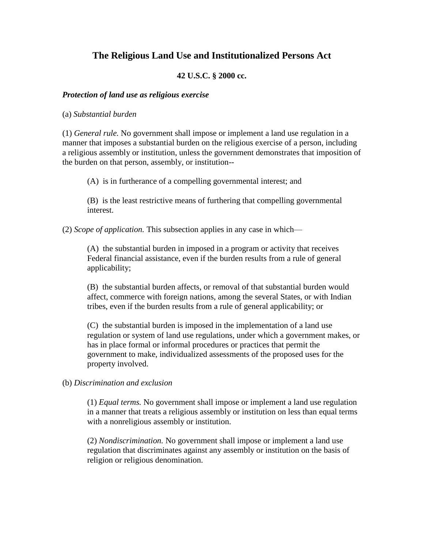# **The Religious Land Use and Institutionalized Persons Act**

#### **42 U.S.C. § 2000 cc.**

#### *Protection of land use as religious exercise*

(a) *Substantial burden* 

(1) *General rule.* No government shall impose or implement a land use regulation in a manner that imposes a substantial burden on the religious exercise of a person, including a religious assembly or institution, unless the government demonstrates that imposition of the burden on that person, assembly, or institution--

(A) is in furtherance of a compelling governmental interest; and

(B) is the least restrictive means of furthering that compelling governmental interest.

(2) *Scope of application.* This subsection applies in any case in which—

(A) the substantial burden in imposed in a program or activity that receives Federal financial assistance, even if the burden results from a rule of general applicability;

(B) the substantial burden affects, or removal of that substantial burden would affect, commerce with foreign nations, among the several States, or with Indian tribes, even if the burden results from a rule of general applicability; or

(C) the substantial burden is imposed in the implementation of a land use regulation or system of land use regulations, under which a government makes, or has in place formal or informal procedures or practices that permit the government to make, individualized assessments of the proposed uses for the property involved.

(b) *Discrimination and exclusion* 

(1) *Equal terms.* No government shall impose or implement a land use regulation in a manner that treats a religious assembly or institution on less than equal terms with a nonreligious assembly or institution.

(2) *Nondiscrimination.* No government shall impose or implement a land use regulation that discriminates against any assembly or institution on the basis of religion or religious denomination.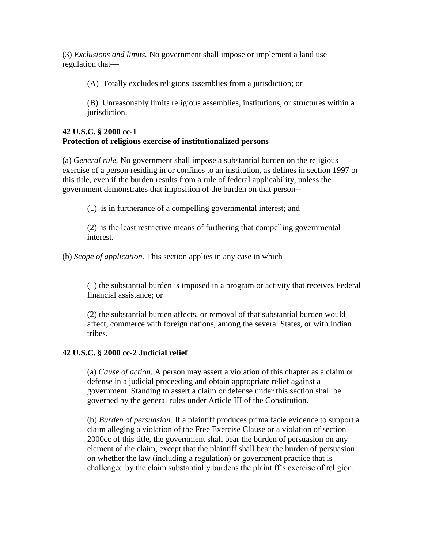(3) *Exclusions and limits.* No government shall impose or implement a land use regulation that—

(A) Totally excludes religions assemblies from a jurisdiction; or

(B) Unreasonably limits religious assemblies, institutions, or structures within a jurisdiction.

### **42 U.S.C. § 2000 cc-1 Protection of religious exercise of institutionalized persons**

(a) *General rule.* No government shall impose a substantial burden on the religious exercise of a person residing in or confines to an institution, as defines in section 1997 or this title, even if the burden results from a rule of federal applicability, unless the government demonstrates that imposition of the burden on that person--

(1) is in furtherance of a compelling governmental interest; and

(2) is the least restrictive means of furthering that compelling governmental interest.

(b) *Scope of application.* This section applies in any case in which—

(1) the substantial burden is imposed in a program or activity that receives Federal financial assistance; or

(2) the substantial burden affects, or removal of that substantial burden would affect, commerce with foreign nations, among the several States, or with Indian tribes.

## **42 U.S.C. § 2000 cc-2 Judicial relief**

(a) *Cause of action.* A person may assert a violation of this chapter as a claim or defense in a judicial proceeding and obtain appropriate relief against a government. Standing to assert a claim or defense under this section shall be governed by the general rules under Article III of the Constitution.

(b) *Burden of persuasion.* If a plaintiff produces prima facie evidence to support a claim alleging a violation of the Free Exercise Clause or a violation of section 2000cc of this title, the government shall bear the burden of persuasion on any element of the claim, except that the plaintiff shall bear the burden of persuasion on whether the law (including a regulation) or government practice that is challenged by the claim substantially burdens the plaintiff's exercise of religion.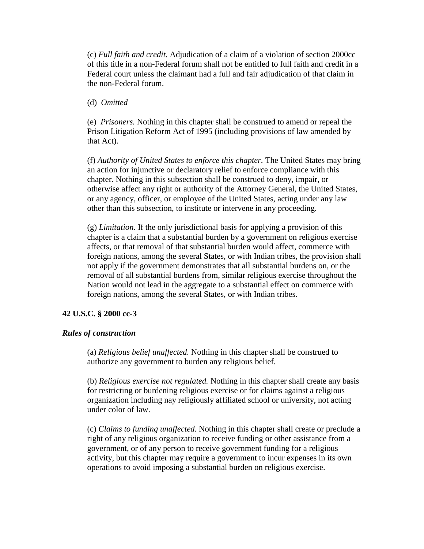(c) *Full faith and credit.* Adjudication of a claim of a violation of section 2000cc of this title in a non-Federal forum shall not be entitled to full faith and credit in a Federal court unless the claimant had a full and fair adjudication of that claim in the non-Federal forum.

#### (d) *Omitted*

(e) *Prisoners.* Nothing in this chapter shall be construed to amend or repeal the Prison Litigation Reform Act of 1995 (including provisions of law amended by that Act).

(f) *Authority of United States to enforce this chapter.* The United States may bring an action for injunctive or declaratory relief to enforce compliance with this chapter. Nothing in this subsection shall be construed to deny, impair, or otherwise affect any right or authority of the Attorney General, the United States, or any agency, officer, or employee of the United States, acting under any law other than this subsection, to institute or intervene in any proceeding.

(g) *Limitation.* If the only jurisdictional basis for applying a provision of this chapter is a claim that a substantial burden by a government on religious exercise affects, or that removal of that substantial burden would affect, commerce with foreign nations, among the several States, or with Indian tribes, the provision shall not apply if the government demonstrates that all substantial burdens on, or the removal of all substantial burdens from, similar religious exercise throughout the Nation would not lead in the aggregate to a substantial effect on commerce with foreign nations, among the several States, or with Indian tribes.

## **42 U.S.C. § 2000 cc-3**

#### *Rules of construction*

(a) *Religious belief unaffected.* Nothing in this chapter shall be construed to authorize any government to burden any religious belief.

(b) *Religious exercise not regulated.* Nothing in this chapter shall create any basis for restricting or burdening religious exercise or for claims against a religious organization including nay religiously affiliated school or university, not acting under color of law.

(c) *Claims to funding unaffected.* Nothing in this chapter shall create or preclude a right of any religious organization to receive funding or other assistance from a government, or of any person to receive government funding for a religious activity, but this chapter may require a government to incur expenses in its own operations to avoid imposing a substantial burden on religious exercise.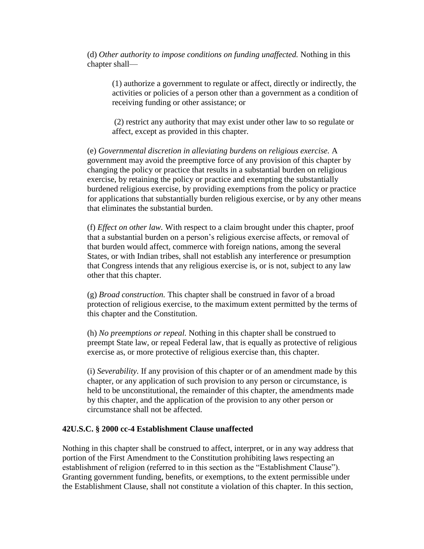(d) *Other authority to impose conditions on funding unaffected.* Nothing in this chapter shall—

(1) authorize a government to regulate or affect, directly or indirectly, the activities or policies of a person other than a government as a condition of receiving funding or other assistance; or

(2) restrict any authority that may exist under other law to so regulate or affect, except as provided in this chapter.

(e) *Governmental discretion in alleviating burdens on religious exercise.* A government may avoid the preemptive force of any provision of this chapter by changing the policy or practice that results in a substantial burden on religious exercise, by retaining the policy or practice and exempting the substantially burdened religious exercise, by providing exemptions from the policy or practice for applications that substantially burden religious exercise, or by any other means that eliminates the substantial burden.

(f) *Effect on other law.* With respect to a claim brought under this chapter, proof that a substantial burden on a person's religious exercise affects, or removal of that burden would affect, commerce with foreign nations, among the several States, or with Indian tribes, shall not establish any interference or presumption that Congress intends that any religious exercise is, or is not, subject to any law other that this chapter.

(g) *Broad construction.* This chapter shall be construed in favor of a broad protection of religious exercise, to the maximum extent permitted by the terms of this chapter and the Constitution.

(h) *No preemptions or repeal.* Nothing in this chapter shall be construed to preempt State law, or repeal Federal law, that is equally as protective of religious exercise as, or more protective of religious exercise than, this chapter.

(i) *Severability.* If any provision of this chapter or of an amendment made by this chapter, or any application of such provision to any person or circumstance, is held to be unconstitutional, the remainder of this chapter, the amendments made by this chapter, and the application of the provision to any other person or circumstance shall not be affected.

#### **42U.S.C. § 2000 cc-4 Establishment Clause unaffected**

Nothing in this chapter shall be construed to affect, interpret, or in any way address that portion of the First Amendment to the Constitution prohibiting laws respecting an establishment of religion (referred to in this section as the "Establishment Clause"). Granting government funding, benefits, or exemptions, to the extent permissible under the Establishment Clause, shall not constitute a violation of this chapter. In this section,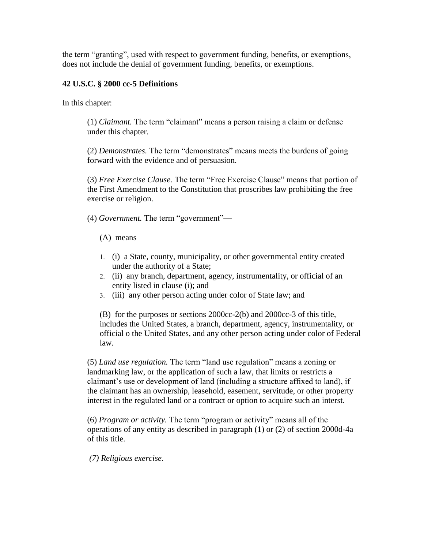the term "granting", used with respect to government funding, benefits, or exemptions, does not include the denial of government funding, benefits, or exemptions.

### **42 U.S.C. § 2000 cc-5 Definitions**

In this chapter:

(1) *Claimant.* The term "claimant" means a person raising a claim or defense under this chapter.

(2) *Demonstrates.* The term "demonstrates" means meets the burdens of going forward with the evidence and of persuasion.

(3) *Free Exercise Clause.* The term "Free Exercise Clause" means that portion of the First Amendment to the Constitution that proscribes law prohibiting the free exercise or religion.

(4) *Government.* The term "government"—

(A) means—

- 1. (i) a State, county, municipality, or other governmental entity created under the authority of a State;
- 2. (ii) any branch, department, agency, instrumentality, or official of an entity listed in clause (i); and
- 3. (iii) any other person acting under color of State law; and

(B) for the purposes or sections 2000cc-2(b) and 2000cc-3 of this title, includes the United States, a branch, department, agency, instrumentality, or official o the United States, and any other person acting under color of Federal law.

(5) *Land use regulation.* The term "land use regulation" means a zoning or landmarking law, or the application of such a law, that limits or restricts a claimant's use or development of land (including a structure affixed to land), if the claimant has an ownership, leasehold, easement, servitude, or other property interest in the regulated land or a contract or option to acquire such an interst.

(6) *Program or activity.* The term "program or activity" means all of the operations of any entity as described in paragraph (1) or (2) of section 2000d-4a of this title.

*(7) Religious exercise.*